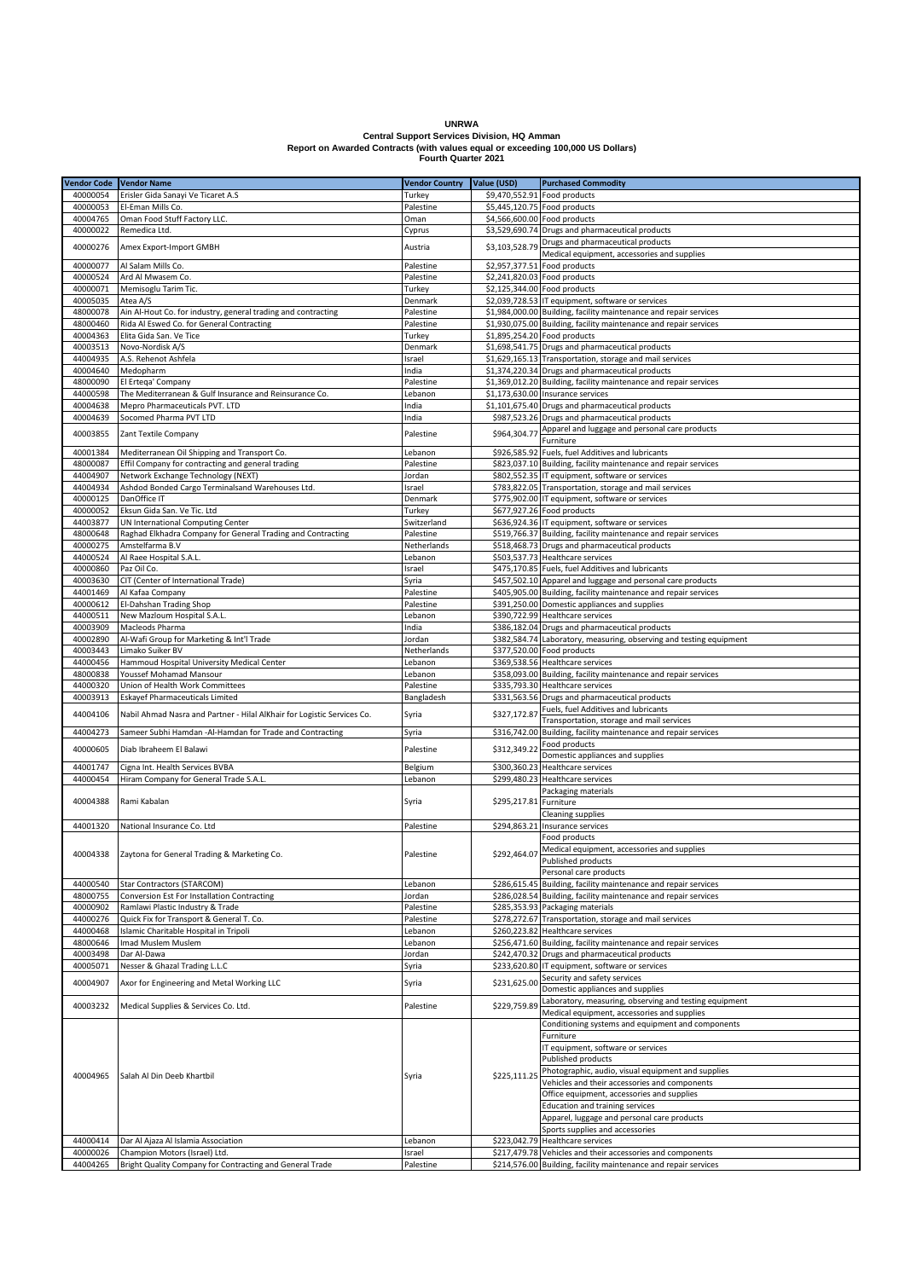**UNRWA**

## **Central Support Services Division, HQ Amman Report on Awarded Contracts (with values equal or exceeding 100,000 US Dollars) Fourth Quarter 2021**

| Vendor Code Vendor Name |                                                                                           |                       |                              |                                                                                                                               |
|-------------------------|-------------------------------------------------------------------------------------------|-----------------------|------------------------------|-------------------------------------------------------------------------------------------------------------------------------|
|                         |                                                                                           | <b>Vendor Country</b> | Value (USD)                  | <b>Purchased Commodity</b>                                                                                                    |
| 40000054                | Erisler Gida Sanayi Ve Ticaret A.S                                                        | Turkey                | \$9,470,552.91 Food products |                                                                                                                               |
| 40000053                | El-Eman Mills Co.                                                                         | Palestine             |                              | \$5,445,120.75 Food products                                                                                                  |
| 40004765                | Oman Food Stuff Factory LLC                                                               | Oman                  | \$4,566,600.00 Food products |                                                                                                                               |
| 40000022                | Remedica Ltd.                                                                             | Cyprus                |                              | \$3,529,690.74 Drugs and pharmaceutical products                                                                              |
| 40000276                | Amex Export-Import GMBH                                                                   | Austria               | \$3,103,528.79               | Drugs and pharmaceutical products                                                                                             |
|                         |                                                                                           |                       |                              | Medical equipment, accessories and supplies                                                                                   |
| 40000077                | Al Salam Mills Co.                                                                        | Palestine             | \$2,957,377.51 Food products |                                                                                                                               |
| 40000524                | Ard Al Mwasem Co.                                                                         | Palestine             | \$2,241,820.03 Food products |                                                                                                                               |
| 40000071                | Memisoglu Tarim Tic.                                                                      | Turkey                | \$2,125,344.00 Food products |                                                                                                                               |
| 40005035                | Atea A/S                                                                                  | Denmark               |                              | \$2,039,728.53 IT equipment, software or services                                                                             |
| 48000078                | Ain Al-Hout Co. for industry, general trading and contracting                             | Palestine             |                              | \$1,984,000.00 Building, facility maintenance and repair services                                                             |
| 48000460                | Rida Al Eswed Co. for General Contracting                                                 | Palestine             |                              | \$1,930,075.00 Building, facility maintenance and repair services                                                             |
| 40004363                | Elita Gida San. Ve Tice                                                                   | Turkey                | \$1,895,254.20 Food products |                                                                                                                               |
| 40003513                | Novo-Nordisk A/S                                                                          | Denmark               |                              | \$1,698,541.75 Drugs and pharmaceutical products                                                                              |
| 44004935                | A.S. Rehenot Ashfela                                                                      | Israel                |                              | \$1,629,165.13 Transportation, storage and mail services                                                                      |
| 40004640                | Medopharm                                                                                 | India                 |                              | \$1,374,220.34 Drugs and pharmaceutical products                                                                              |
| 48000090                | El Ertega' Company                                                                        | Palestine             |                              | \$1,369,012.20 Building, facility maintenance and repair services                                                             |
| 44000598                | The Mediterranean & Gulf Insurance and Reinsurance Co.                                    | Lebanon               |                              | \$1,173,630.00 Insurance services                                                                                             |
| 40004638                | Mepro Pharmaceuticals PVT. LTD                                                            | India                 |                              | \$1,101,675.40 Drugs and pharmaceutical products                                                                              |
| 40004639                | Socomed Pharma PVT LTD                                                                    | India                 |                              | \$987,523.26 Drugs and pharmaceutical products                                                                                |
| 40003855                | Zant Textile Company                                                                      | Palestine             | \$964,304.77                 | Apparel and luggage and personal care products                                                                                |
|                         |                                                                                           |                       |                              | Furniture                                                                                                                     |
| 40001384                | Mediterranean Oil Shipping and Transport Co.                                              | Lebanon               |                              | \$926,585.92 Fuels, fuel Additives and lubricants                                                                             |
| 48000087                | Effil Company for contracting and general trading                                         | Palestine             |                              | \$823,037.10 Building, facility maintenance and repair services                                                               |
| 44004907                | Network Exchange Technology (NEXT)                                                        | Jordan                |                              | \$802,552.35 IT equipment, software or services                                                                               |
| 44004934                | Ashdod Bonded Cargo Terminalsand Warehouses Ltd.                                          | Israel                |                              | \$783,822.05 Transportation, storage and mail services                                                                        |
| 40000125                | DanOffice IT                                                                              | Denmark               |                              | \$775,902.00 IT equipment, software or services                                                                               |
| 40000052                | Eksun Gida San. Ve Tic. Ltd                                                               | Turkey                |                              | \$677,927.26 Food products                                                                                                    |
| 44003877                | UN International Computing Center                                                         | Switzerland           |                              | \$636,924.36 IT equipment, software or services                                                                               |
| 48000648                | Raghad Elkhadra Company for General Trading and Contracting                               | Palestine             |                              | \$519,766.37 Building, facility maintenance and repair services                                                               |
| 40000275                | Amstelfarma B.V                                                                           | Netherlands           |                              | \$518,468.73 Drugs and pharmaceutical products                                                                                |
| 44000524                | Al Raee Hospital S.A.L.                                                                   | Lebanon               |                              | \$503,537.73 Healthcare services                                                                                              |
| 40000860                | Paz Oil Co.                                                                               | Israel                |                              | \$475,170.85 Fuels, fuel Additives and lubricants                                                                             |
| 40003630                | CIT (Center of International Trade)                                                       | Syria                 |                              | \$457,502.10 Apparel and luggage and personal care products                                                                   |
| 44001469                | Al Kafaa Company                                                                          | Palestine             |                              | \$405,905.00 Building, facility maintenance and repair services                                                               |
| 40000612                | El-Dahshan Trading Shop                                                                   | Palestine             |                              | \$391,250.00 Domestic appliances and supplies                                                                                 |
| 44000511                | New Mazloum Hospital S.A.L.                                                               | Lebanon               |                              | \$390,722.99 Healthcare services                                                                                              |
| 40003909                | Macleods Pharma                                                                           | India                 |                              | \$386,182.04 Drugs and pharmaceutical products                                                                                |
| 40002890                | Al-Wafi Group for Marketing & Int'l Trade                                                 | Jordan                |                              | \$382,584.74 Laboratory, measuring, observing and testing equipment                                                           |
| 40003443                | Limako Suiker BV                                                                          | Netherlands           |                              | \$377,520.00 Food products                                                                                                    |
| 44000456                | Hammoud Hospital University Medical Center                                                | Lebanon               |                              | \$369,538.56 Healthcare services                                                                                              |
| 48000838                | Youssef Mohamad Mansour                                                                   | Lebanon               |                              | \$358,093.00 Building, facility maintenance and repair services                                                               |
| 44000320                | Union of Health Work Committees                                                           | Palestine             |                              | \$335,793.30 Healthcare services                                                                                              |
| 40003913                | <b>Eskayef Pharmaceuticals Limited</b>                                                    | Bangladesh            |                              | \$331,563.56 Drugs and pharmaceutical products                                                                                |
|                         |                                                                                           |                       |                              | Fuels, fuel Additives and lubricants                                                                                          |
| 44004106                | Nabil Ahmad Nasra and Partner - Hilal AlKhair for Logistic Services Co.                   | Syria                 | \$327,172.87                 | Transportation, storage and mail services                                                                                     |
| 44004273                | Sameer Subhi Hamdan -Al-Hamdan for Trade and Contracting                                  | Syria                 |                              | \$316,742.00 Building, facility maintenance and repair services                                                               |
|                         |                                                                                           |                       |                              | Food products                                                                                                                 |
| 40000605                | Diab Ibraheem El Balawi                                                                   | Palestine             | \$312,349.2                  | Domestic appliances and supplies                                                                                              |
| 44001747                | Cigna Int. Health Services BVBA                                                           | Belgium               |                              | \$300,360.23 Healthcare services                                                                                              |
| 44000454                | Hiram Company for General Trade S.A.L.                                                    | Lebanon               |                              | \$299,480.23 Healthcare services                                                                                              |
|                         |                                                                                           |                       |                              | Packaging materials                                                                                                           |
| 40004388                | Rami Kabalan                                                                              | Syria                 | \$295,217.81 Furniture       |                                                                                                                               |
|                         |                                                                                           |                       |                              | <b>Cleaning supplies</b>                                                                                                      |
| 44001320                | National Insurance Co. Ltd                                                                | Palestine             | \$294,863.21                 | Insurance services                                                                                                            |
|                         |                                                                                           |                       |                              | Food products                                                                                                                 |
|                         |                                                                                           |                       |                              |                                                                                                                               |
| 40004338                | Zaytona for General Trading & Marketing Co                                                | Palestine             | \$292,464.0                  | Medical equipment, accessories and supplies<br>Published products                                                             |
|                         |                                                                                           |                       |                              | Personal care products                                                                                                        |
| 44000540                | Star Contractors (STARCOM)                                                                | Lebanon               | \$286,615.45                 | Building, facility maintenance and repair services                                                                            |
| 48000755                | Conversion Est For Installation Contracting                                               | Jordan                |                              | \$286,028.54 Building, facility maintenance and repair services                                                               |
| 40000902                | Ramlawi Plastic Industry & Trade                                                          | Palestine             |                              | \$285,353.93 Packaging materials                                                                                              |
| 44000276                | Quick Fix for Transport & General T. Co.                                                  | Palestine             |                              | \$278,272.67 Transportation, storage and mail services                                                                        |
| 44000468                | Islamic Charitable Hospital in Tripoli                                                    | Lebanon               |                              | \$260,223.82 Healthcare services                                                                                              |
| 48000646                | Imad Muslem Muslem                                                                        | Lebanon               |                              | \$256,471.60 Building, facility maintenance and repair services                                                               |
| 40003498                | Dar Al-Dawa                                                                               | Jordan                |                              | \$242,470.32 Drugs and pharmaceutical products                                                                                |
| 40005071                | Nesser & Ghazal Trading L.L.C                                                             | Syria                 |                              | \$233,620.80 IT equipment, software or services                                                                               |
|                         |                                                                                           |                       |                              | Security and safety services                                                                                                  |
| 40004907                | Axor for Engineering and Metal Working LLC                                                | Syria                 | \$231,625.00                 | Domestic appliances and supplies                                                                                              |
|                         |                                                                                           |                       |                              | Laboratory, measuring, observing and testing equipment                                                                        |
| 40003232                | Medical Supplies & Services Co. Ltd.                                                      | Palestine             | \$229,759.8                  | Medical equipment, accessories and supplies                                                                                   |
| 40004965                | Salah Al Din Deeb Khartbil                                                                | Syria                 | \$225,111.25                 | Conditioning systems and equipment and components                                                                             |
|                         |                                                                                           |                       |                              | Furniture                                                                                                                     |
|                         |                                                                                           |                       |                              | IT equipment, software or services                                                                                            |
|                         |                                                                                           |                       |                              | Published products                                                                                                            |
|                         |                                                                                           |                       |                              | Photographic, audio, visual equipment and supplies                                                                            |
|                         |                                                                                           |                       |                              |                                                                                                                               |
|                         |                                                                                           |                       |                              | Vehicles and their accessories and components                                                                                 |
|                         |                                                                                           |                       |                              | Office equipment, accessories and supplies                                                                                    |
|                         |                                                                                           |                       |                              | <b>Education and training services</b><br>Apparel, luggage and personal care products                                         |
|                         |                                                                                           |                       |                              |                                                                                                                               |
| 44000414                | Dar Al Ajaza Al Islamia Association                                                       |                       |                              | Sports supplies and accessories<br>\$223,042.79 Healthcare services                                                           |
|                         |                                                                                           | Lebanon               |                              |                                                                                                                               |
| 40000026<br>44004265    | Champion Motors (Israel) Ltd.<br>Bright Quality Company for Contracting and General Trade | Israel<br>Palestine   |                              | \$217,479.78 Vehicles and their accessories and components<br>\$214,576.00 Building, facility maintenance and repair services |
|                         |                                                                                           |                       |                              |                                                                                                                               |